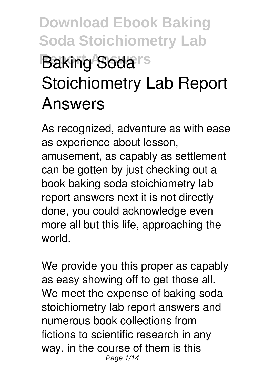# **Download Ebook Baking Soda Stoichiometry Lab Baking Soda**<sup>s</sup> **Stoichiometry Lab Report Answers**

As recognized, adventure as with ease as experience about lesson, amusement, as capably as settlement can be gotten by just checking out a book **baking soda stoichiometry lab report answers** next it is not directly done, you could acknowledge even more all but this life, approaching the world.

We provide you this proper as capably as easy showing off to get those all. We meet the expense of baking soda stoichiometry lab report answers and numerous book collections from fictions to scientific research in any way. in the course of them is this Page 1/14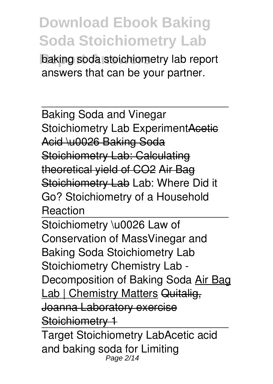**Report Answers** baking soda stoichiometry lab report answers that can be your partner.

Baking Soda and Vinegar Stoichiometry Lab ExperimentAcetic Acid \u0026 Baking Soda Stoichiometry Lab: Calculating theoretical yield of CO2 Air Bag Stoichiometry Lab **Lab: Where Did it Go? Stoichiometry of a Household Reaction**

Stoichiometry \u0026 Law of Conservation of Mass*Vinegar and Baking Soda Stoichiometry Lab* Stoichiometry Chemistry Lab - Decomposition of Baking Soda Air Bag Lab | Chemistry Matters Quitalig, Joanna Laboratory exercise Stoichiometry 1

Target Stoichiometry Lab*Acetic acid and baking soda for Limiting* Page 2/14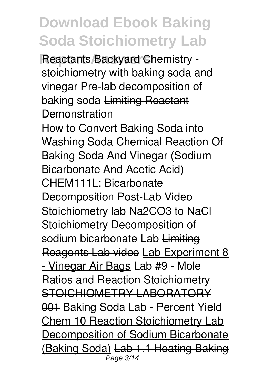**Reactants Backyard Chemistry stoichiometry with baking soda and vinegar** *Pre-lab decomposition of baking soda* Limiting Reactant **Demonstration** 

How to Convert Baking Soda into Washing Soda Chemical Reaction Of Baking Soda And Vinegar (Sodium Bicarbonate And Acetic Acid) CHEM111L: Bicarbonate Decomposition Post-Lab Video Stoichiometry lab Na2CO3 to NaCl Stoichiometry Decomposition of sodium bicarbonate Lab Limiting Reagents Lab video Lab Experiment 8 - Vinegar Air Bags *Lab #9 - Mole Ratios and Reaction Stoichiometry* STOICHIOMETRY LABORATORY 001 **Baking Soda Lab - Percent Yield** Chem 10 Reaction Stoichiometry Lab Decomposition of Sodium Bicarbonate (Baking Soda) Lab 1.1 Heating Baking  $\overline{\rho}$ age 3/14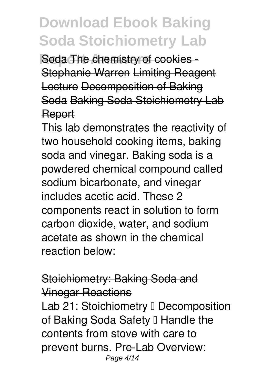**Report Answers** Soda The chemistry of cookies -Stephanie Warren Limiting Reagent Lecture Decomposition of Baking Soda Baking Soda Stoichiometry Lab Report

This lab demonstrates the reactivity of two household cooking items, baking soda and vinegar. Baking soda is a powdered chemical compound called sodium bicarbonate, and vinegar includes acetic acid. These 2 components react in solution to form carbon dioxide, water, and sodium acetate as shown in the chemical reaction below:

#### Stoichiometry: Baking Soda and Vinegar Reactions

Lab 21: Stoichiometry II Decomposition of Baking Soda Safety I Handle the contents from stove with care to prevent burns. Pre-Lab Overview: Page 4/14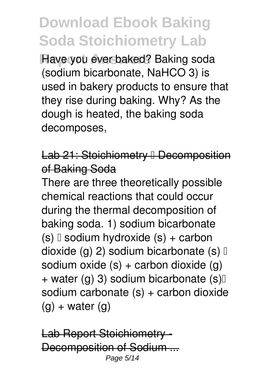**Have you ever baked? Baking soda** (sodium bicarbonate, NaHCO 3) is used in bakery products to ensure that they rise during baking. Why? As the dough is heated, the baking soda decomposes,

#### Lab 21: Stoichiometry **L** Decomposition of Baking Soda

There are three theoretically possible chemical reactions that could occur during the thermal decomposition of baking soda. 1) sodium bicarbonate  $(s)$  sodium hydroxide  $(s)$  + carbon dioxide (g) 2) sodium bicarbonate (s)  $\mathbb{I}$ sodium oxide  $(s)$  + carbon dioxide  $(q)$ + water (g) 3) sodium bicarbonate  $(s)$ sodium carbonate (s) + carbon dioxide  $(q)$  + water  $(q)$ 

Lab Report Stoichiom Decomposition of Sodium Page 5/14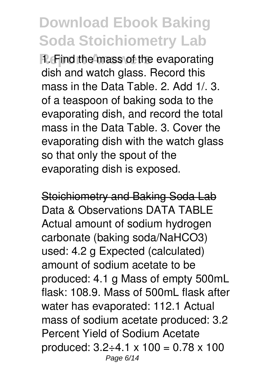**R**. Find the mass of the evaporating dish and watch glass. Record this mass in the Data Table. 2. Add 1/. 3. of a teaspoon of baking soda to the evaporating dish, and record the total mass in the Data Table. 3. Cover the evaporating dish with the watch glass so that only the spout of the evaporating dish is exposed.

Stoichiometry and Baking Soda Lab Data & Observations DATA TABLE Actual amount of sodium hydrogen carbonate (baking soda/NaHCO3) used: 4.2 g Expected (calculated) amount of sodium acetate to be produced: 4.1 g Mass of empty 500mL flask: 108.9. Mass of 500mL flask after water has evaporated: 112.1 Actual mass of sodium acetate produced: 3.2 Percent Yield of Sodium Acetate produced:  $3.2 \div 4.1 \times 100 = 0.78 \times 100$ Page 6/14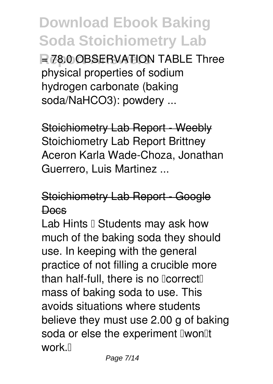**R** 78.0 OBSERVATION TABLE Three physical properties of sodium hydrogen carbonate (baking soda/NaHCO3): powdery ...

Stoichiometry Lab Report - Weebly Stoichiometry Lab Report Brittney Aceron Karla Wade-Choza, Jonathan Guerrero, Luis Martinez ...

#### Stoichiometry Lab Report - Google **Docs**

Lab Hints  $\mathbb I$  Students may ask how much of the baking soda they should use. In keeping with the general practice of not filling a crucible more than half-full, there is no  $\text{Correct}$ mass of baking soda to use. This avoids situations where students believe they must use 2.00 g of baking soda or else the experiment I won'lt work $\mathbb{R}$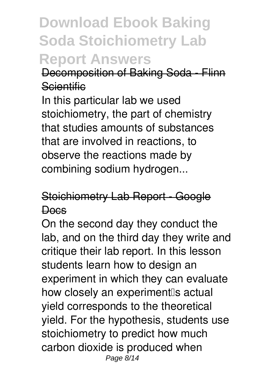#### **Download Ebook Baking Soda Stoichiometry Lab Report Answers**

#### Decomposition of Baking Soda - Flinn **Scientific**

In this particular lab we used stoichiometry, the part of chemistry that studies amounts of substances that are involved in reactions, to observe the reactions made by combining sodium hydrogen...

#### Stoichiometry Lab Report - Google Docs

On the second day they conduct the lab, and on the third day they write and critique their lab report. In this lesson students learn how to design an experiment in which they can evaluate how closely an experiment<sup>[</sup>s actual yield corresponds to the theoretical yield. For the hypothesis, students use stoichiometry to predict how much carbon dioxide is produced when Page 8/14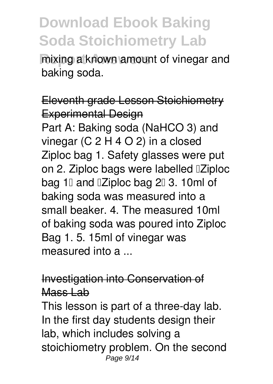**Report Answers** mixing a known amount of vinegar and baking soda.

#### Eleventh grade Lesson Stoichiometry Experimental Design

Part A: Baking soda (NaHCO 3) and vinegar (C 2 H 4 O 2) in a closed Ziploc bag 1. Safety glasses were put on 2. Ziploc bags were labelled "Ziploc bag 1<sup>[]</sup> and <sup>[2]</sup> and  $\alpha$  bag 2<sup>[]</sup> 3. 10ml of baking soda was measured into a small beaker. 4. The measured 10ml of baking soda was poured into Ziploc Bag 1. 5. 15ml of vinegar was measured into a ...

#### Investigation into Conservation of Mass Lab

This lesson is part of a three-day lab. In the first day students design their lab, which includes solving a stoichiometry problem. On the second Page 9/14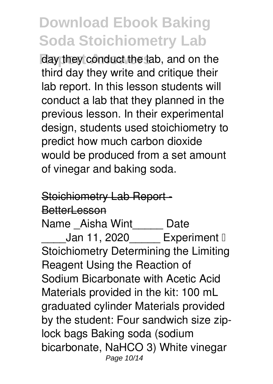day they conduct the lab, and on the third day they write and critique their lab report. In this lesson students will conduct a lab that they planned in the previous lesson. In their experimental design, students used stoichiometry to predict how much carbon dioxide would be produced from a set amount of vinegar and baking soda.

#### Stoichiometry Lab Report-

#### BetterLesson

Name \_Aisha Wint\_\_\_\_\_ Date Jan 11, 2020 Experiment  $\mathbb I$ Stoichiometry Determining the Limiting Reagent Using the Reaction of Sodium Bicarbonate with Acetic Acid Materials provided in the kit: 100 mL graduated cylinder Materials provided by the student: Four sandwich size ziplock bags Baking soda (sodium bicarbonate, NaHCO 3) White vinegar Page 10/14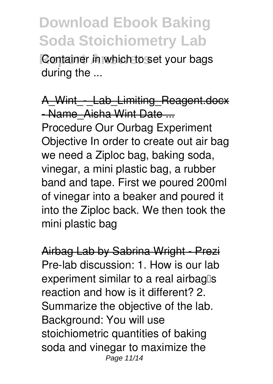**Container in which to set your bags** during the ...

A Wint - Lab Limiting Reagent.docx - Name Aisha Wint Date ... Procedure Our Ourbag Experiment Objective In order to create out air bag we need a Ziploc bag, baking soda, vinegar, a mini plastic bag, a rubber band and tape. First we poured 200ml of vinegar into a beaker and poured it into the Ziploc back. We then took the mini plastic bag

Airbag Lab by Sabrina Wright - Prezi Pre-lab discussion: 1. How is our lab experiment similar to a real airbag<sup>[]</sup>s reaction and how is it different? 2. Summarize the objective of the lab. Background: You will use stoichiometric quantities of baking soda and vinegar to maximize the Page 11/14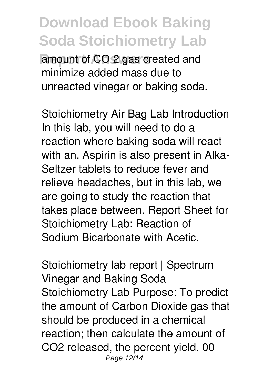amount of CO 2 gas created and minimize added mass due to unreacted vinegar or baking soda.

Stoichiometry Air Bag Lab Introduction In this lab, you will need to do a reaction where baking soda will react with an. Aspirin is also present in Alka-Seltzer tablets to reduce fever and relieve headaches, but in this lab, we are going to study the reaction that takes place between. Report Sheet for Stoichiometry Lab: Reaction of Sodium Bicarbonate with Acetic.

Stoichiometry lab report | Spectrum Vinegar and Baking Soda Stoichiometry Lab Purpose: To predict the amount of Carbon Dioxide gas that should be produced in a chemical reaction; then calculate the amount of CO2 released, the percent yield. 00 Page 12/14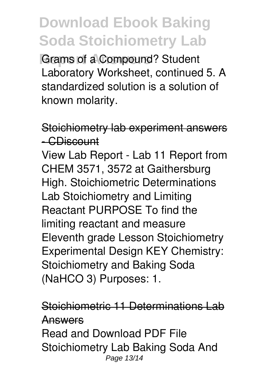**Grams of a Compound? Student** Laboratory Worksheet, continued 5. A standardized solution is a solution of known molarity.

#### Stoichiometry lab experiment answers - CDiscount

View Lab Report - Lab 11 Report from CHEM 3571, 3572 at Gaithersburg High. Stoichiometric Determinations Lab Stoichiometry and Limiting Reactant PURPOSE To find the limiting reactant and measure Eleventh grade Lesson Stoichiometry Experimental Design KEY Chemistry: Stoichiometry and Baking Soda (NaHCO 3) Purposes: 1.

#### Stoichiometric 11 Determinations Lab Answers

Read and Download PDF File Stoichiometry Lab Baking Soda And Page 13/14